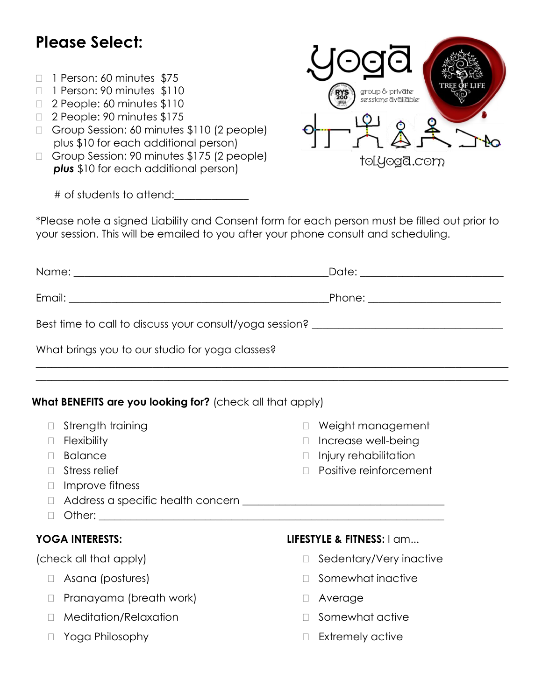# **Please Select:**

- 1 Person: 60 minutes \$75
- 1 Person: 90 minutes \$110
- 2 People: 60 minutes \$110
- □ 2 People: 90 minutes \$175
- Group Session: 60 minutes \$110 (2 people) plus \$10 for each additional person)
- Group Session: 90 minutes \$175 (2 people) **plus** \$10 for each additional person)

# of students to attend:\_\_\_\_\_\_\_\_\_\_\_\_\_\_

\*Please note a signed Liability and Consent form for each person must be filled out prior to your session. This will be emailed to you after your phone consult and scheduling.

|                                                                                  | Date: _________________________ |
|----------------------------------------------------------------------------------|---------------------------------|
|                                                                                  | Phone: _______________________  |
| Best time to call to discuss your consult/yoga session? ________________________ |                                 |
| What brings you to our studio for yoga classes?                                  |                                 |

 $\_$  , and the set of the set of the set of the set of the set of the set of the set of the set of the set of the set of the set of the set of the set of the set of the set of the set of the set of the set of the set of th  $\_$  , and the set of the set of the set of the set of the set of the set of the set of the set of the set of the set of the set of the set of the set of the set of the set of the set of the set of the set of the set of th

#### **What BENEFITS are you looking for?** (check all that apply)

|   | Strength training       |        | Weight management         |
|---|-------------------------|--------|---------------------------|
|   | <b>Flexibility</b>      |        | Increase well-being       |
|   | <b>Balance</b>          |        | Injury rehabilitation     |
|   | Stress relief           |        | Positive reinforcement    |
|   | Improve fitness         |        |                           |
| L |                         |        |                           |
|   |                         |        |                           |
|   | <b>YOGA INTERESTS:</b>  |        | LIFESTYLE & FITNESS: I am |
|   |                         |        |                           |
|   | (check all that apply)  |        | Sedentary/Very inactive   |
|   | Asana (postures)        |        | Somewhat inactive         |
|   | Pranayama (breath work) |        | Average                   |
|   | Meditation/Relaxation   |        | Somewhat active           |
|   | Yoga Philosophy         | $\Box$ | Extremely active          |

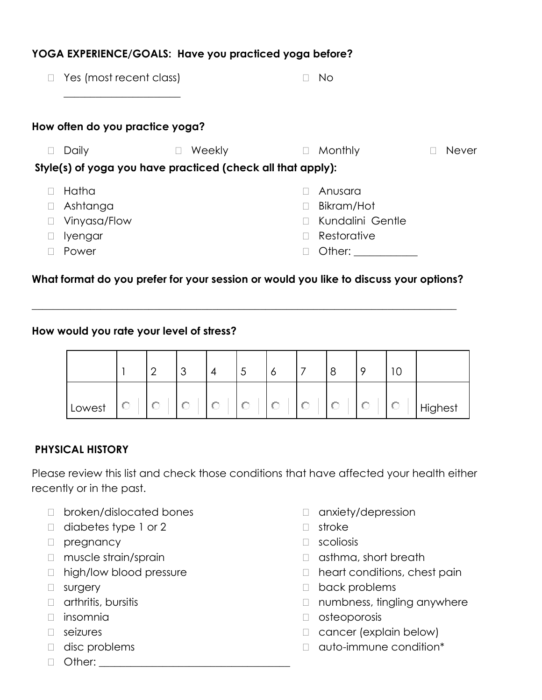| Yes (most recent class)                                     |        | $\overline{\phantom{a}}$ | <b>No</b>        |              |
|-------------------------------------------------------------|--------|--------------------------|------------------|--------------|
| How often do you practice yoga?                             |        |                          |                  |              |
| Daily                                                       | Weekly | $\Box$                   | Monthly          | <b>Never</b> |
| Style(s) of yoga you have practiced (check all that apply): |        |                          |                  |              |
| Hatha                                                       |        |                          | Anusara          |              |
| Ashtanga                                                    |        | П                        | Bikram/Hot       |              |
| Vinyasa/Flow                                                |        | П                        | Kundalini Gentle |              |
| lyengar                                                     |        | П                        | Restorative      |              |
| Power                                                       |        |                          | Other:           |              |

**YOGA EXPERIENCE/GOALS: Have you practiced yoga before?**

# **What format do you prefer for your session or would you like to discuss your options?**

**\_\_\_\_\_\_\_\_\_\_\_\_\_\_\_\_\_\_\_\_\_\_\_\_\_\_\_\_\_\_\_\_\_\_\_\_\_\_\_\_\_\_\_\_\_\_\_\_\_\_\_\_\_\_\_\_\_\_\_\_\_\_\_\_\_\_\_\_\_\_\_\_\_\_\_\_\_\_\_\_**

#### **How would you rate your level of stress?**

|        |   |     | $\overline{\phantom{0}}$<br>◡ |    | -<br>ٮ | O | 8 | о | ⌒<br>◡ |         |
|--------|---|-----|-------------------------------|----|--------|---|---|---|--------|---------|
| Lowest | v | Aug |                               | s. | 5.,    | С | v | v | W      | Highest |

# **PHYSICAL HISTORY**

Please review this list and check those conditions that have affected your health either recently or in the past.

- D broken/dislocated bones
- □ diabetes type 1 or 2
- D pregnancy
- □ muscle strain/sprain
- □ high/low blood pressure
- surgery
- $\Box$  arthritis, bursitis
- $\Box$  insomnia
- seizures
- disc problems
- $\Box$  Other:
- □ anxiety/depression
- stroke
- **D** scoliosis
- $\Box$  asthma, short breath
- □ heart conditions, chest pain
- D back problems
- □ numbness, tingling anywhere
- osteoporosis
- □ cancer (explain below)
- auto-immune condition\*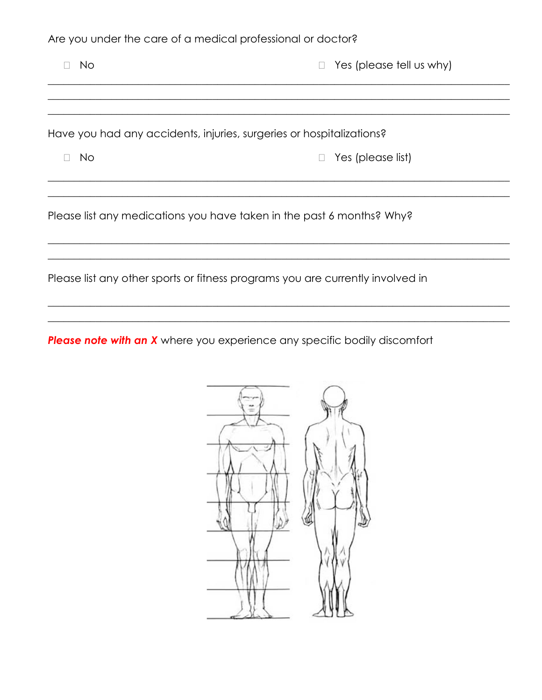Are you under the care of a medical professional or doctor?

| No. | $\Box$ Yes (please tell us why)                                      |  |  |  |  |  |
|-----|----------------------------------------------------------------------|--|--|--|--|--|
|     |                                                                      |  |  |  |  |  |
|     |                                                                      |  |  |  |  |  |
|     | Have you had any accidents, injuries, surgeries or hospitalizations? |  |  |  |  |  |
| No  | Yes (please list)<br>$\Box$                                          |  |  |  |  |  |
|     |                                                                      |  |  |  |  |  |

Please list any medications you have taken in the past 6 months? Why?

Please list any other sports or fitness programs you are currently involved in

Please note with an X where you experience any specific bodily discomfort